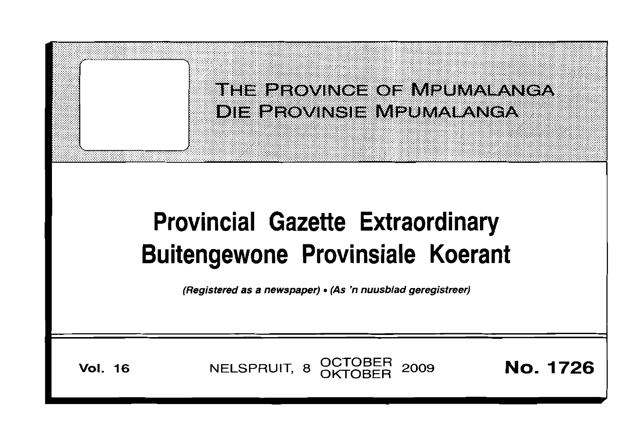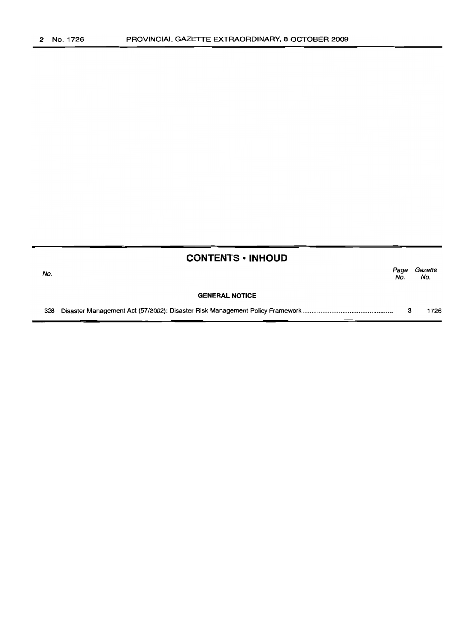|     | <b>CONTENTS • INHOUD</b> |             |                |
|-----|--------------------------|-------------|----------------|
| No. |                          | Page<br>No. | Gazette<br>No. |
|     | <b>GENERAL NOTICE</b>    |             |                |
| 328 |                          | -3          | 1726           |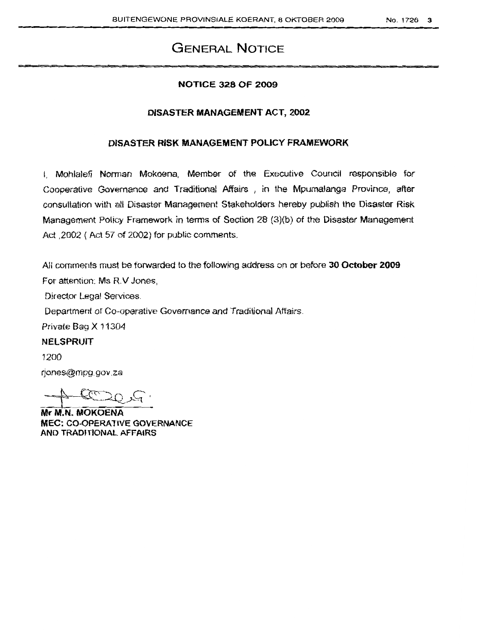### **GENERAL NOTICE**

#### **NOTICE 328 OF 2009**

#### **DISASTER MANAGEMENT ACT, 2002**

#### **DISASTER RISK MANAGEMENT POLICY FRAMEWORK**

I, Mohlalefi Norman Mokoena, Member of the Executive Council responsible for Cooperative Governance and Traditional Affairs, in the Mpumalanga Province, after consultation with all Disaster Management Stakeholders hereby publish the Disaster Risk Management Policy Framework in terms of Section 28 (3)(b) of the Disaster Management Act ,2002 ( Act 57 of 2002) for public comments.

All comments must be forwarded to the following address on or before **30 October 2009** For attention: Ms R.V Jones,

Director Legal Services.

Department of Co-operative Governance and Traditional Affairs.

Private Bag X 11304

**NElSPRUlT**

1200

rjones@mp9·gov.za

 $+60007$ 

**Mr M.N. MOKOENA MEC: CO-OPERATIVE** GOVERNANCE **AND TRADITIONAL AFFAIRS**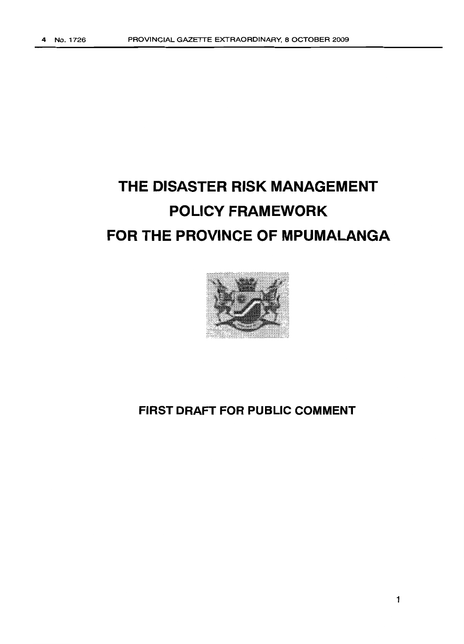# **THE DISASTER RISK MANAGEMENT POLICY FRAMEWORK FOR THE PROVINCE OF MPUMALANGA**



### **FIRST DRAFT FOR PUBLIC COMMENT**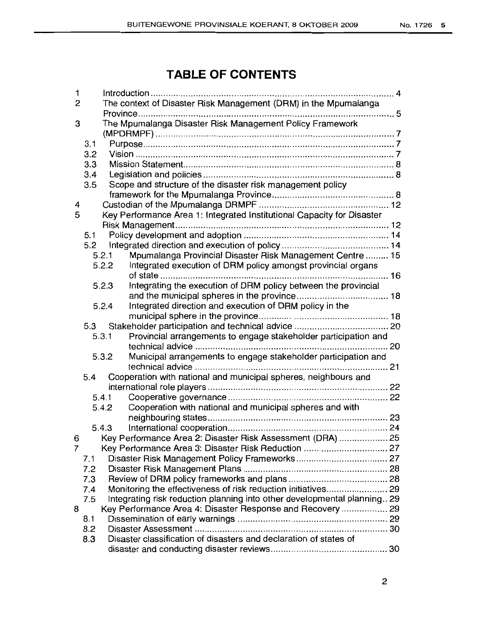### **TABLE OF CONTENTS**

| 1              |                                                                                 |
|----------------|---------------------------------------------------------------------------------|
| 2              | The context of Disaster Risk Management (DRM) in the Mpumalanga                 |
|                |                                                                                 |
| 3              | The Mpumalanga Disaster Risk Management Policy Framework                        |
|                |                                                                                 |
|                | 3.1                                                                             |
|                | 3.2                                                                             |
|                | 3.3                                                                             |
|                | 3.4                                                                             |
|                | Scope and structure of the disaster risk management policy<br>3.5               |
|                |                                                                                 |
| 4              |                                                                                 |
| 5              | Key Performance Area 1: Integrated Institutional Capacity for Disaster          |
|                |                                                                                 |
|                | 5.1                                                                             |
|                | 5.2                                                                             |
|                | Mpumalanga Provincial Disaster Risk Management Centre  15<br>5.2.1              |
|                | 5.2.2<br>Integrated execution of DRM policy amongst provincial organs           |
|                |                                                                                 |
|                | Integrating the execution of DRM policy between the provincial<br>5.2.3         |
|                |                                                                                 |
|                | Integrated direction and execution of DRM policy in the<br>5.2.4                |
|                |                                                                                 |
|                | 5.3                                                                             |
|                | Provincial arrangements to engage stakeholder participation and<br>5.3.1        |
|                |                                                                                 |
|                | Municipal arrangements to engage stakeholder participation and<br>5.3.2         |
|                | Cooperation with national and municipal spheres, neighbours and<br>5.4          |
|                |                                                                                 |
|                | 5.4.1                                                                           |
|                | Cooperation with national and municipal spheres and with<br>5.4.2               |
|                |                                                                                 |
|                | 5.4.3                                                                           |
| 6              | Key Performance Area 2: Disaster Risk Assessment (DRA)  25                      |
| $\overline{7}$ | Key Performance Area 3: Disaster Risk Reduction  27                             |
|                | 7.1 Disaster Risk Management Policy Frameworks 27                               |
|                | 7.2                                                                             |
|                | 7.3                                                                             |
|                | Monitoring the effectiveness of risk reduction initiatives 29<br>7.4            |
|                | Integrating risk reduction planning into other developmental planning 29<br>7.5 |
| 8              | Key Performance Area 4: Disaster Response and Recovery  29                      |
|                | 8.1                                                                             |
|                | 8.2                                                                             |
|                | Disaster classification of disasters and declaration of states of<br>8.3        |
|                |                                                                                 |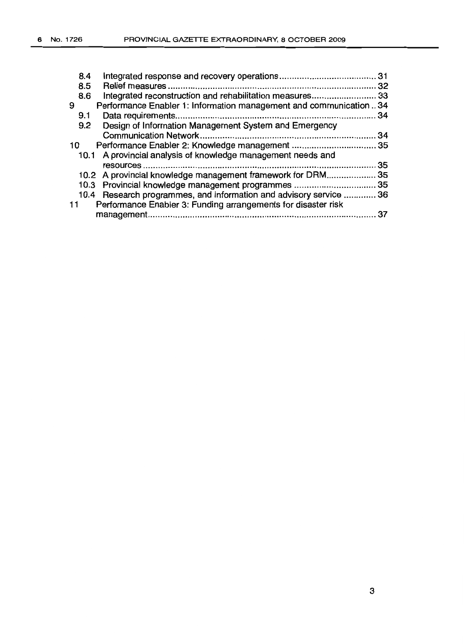| 8.4                                                                    |                                                                   |
|------------------------------------------------------------------------|-------------------------------------------------------------------|
| 8.5                                                                    |                                                                   |
| 8.6                                                                    | Integrated reconstruction and rehabilitation measures 33          |
| 9                                                                      | Performance Enabler 1: Information management and communication34 |
| 9.1                                                                    | 34                                                                |
| Design of Information Management System and Emergency<br>$9.2^{\circ}$ |                                                                   |
|                                                                        | 34                                                                |
| 10                                                                     |                                                                   |
| 10.1 A provincial analysis of knowledge management needs and           |                                                                   |
|                                                                        | 35                                                                |
|                                                                        | 10.2 A provincial knowledge management framework for DRM 35       |
|                                                                        | 10.3 Provincial knowledge management programmes  35               |
|                                                                        | 10.4 Research programmes, and information and advisory service 36 |
| Performance Enabler 3: Funding arrangements for disaster risk<br>11    |                                                                   |
|                                                                        | 37                                                                |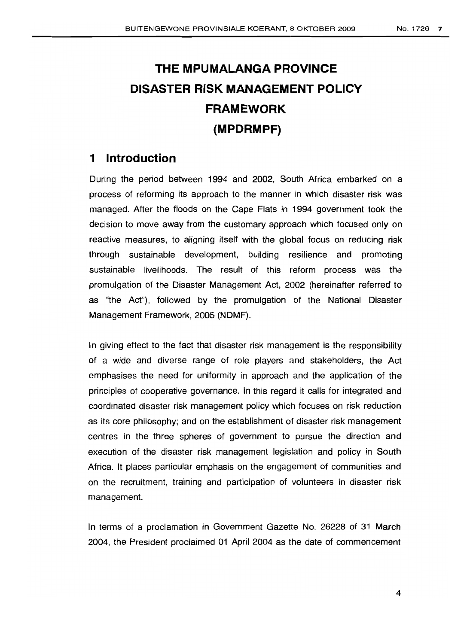# **THE MPUMALANGA PROVINCE DISASTER RISK MANAGEMENT POLICY FRAMEWORK (MPDRMPF)**

### **1 Introduction**

During the period between 1994 and 2002, South Africa embarked on a process of reforming its approach to the manner in which disaster risk was managed. After the floods on the Cape Flats in 1994 government took the decision to move away from the customary approach which focused only on reactive measures, to aligning itself with the global focus on reducing risk through sustainable development, building resilience and promoting sustainable livelihoods. The result of this reform process was the promulgation of the Disaster Management Act, 2002 (hereinafter referred to as "the Act"), followed by the promulgation of the National Disaster Management Framework, 2005 (NDMF).

In giving effect to the fact that disaster risk management is the responsibility of a wide and diverse range of role players and stakeholders, the Act emphasises the need for uniformity in approach and the application of the principles of cooperative governance. In this regard it calls for integrated and coordinated disaster risk management policy which focuses on risk reduction as its core philosophy; and on the establishment of disaster risk management centres in the three spheres of government to pursue the direction and execution of the disaster risk management legislation and policy in South Africa. It places particular emphasis on the engagement of communities and on the recruitment, training and participation of volunteers in disaster risk management.

In terms of a proclamation in Government Gazette No. 26228 of 31 March 2004, the President proclaimed 01 April 2004 as the date of commencement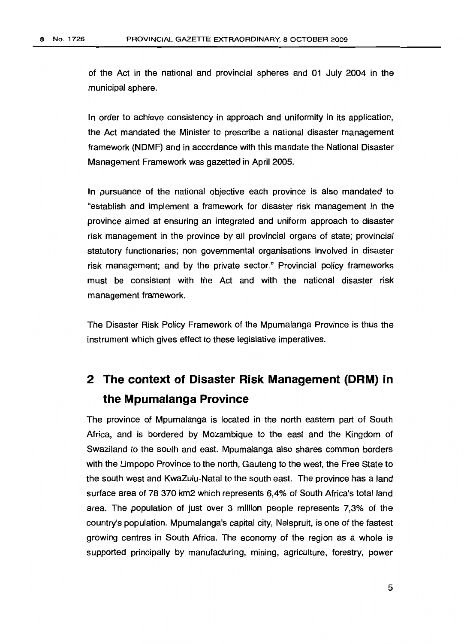of the Act in the national and provincial spheres and 01 July 2004 in the municipal sphere.

In order to achieve consistency in approach and uniformity in its application, the Act mandated the Minister to prescribe a national disaster management framework (NDMF) and in accordance with this mandate the National Disaster Management Framework was gazetted in April 2005.

In pursuance of the national objective each province is also mandated to "establish and implement a framework for disaster risk management in the province aimed at ensuring an integrated and uniform approach to disaster risk management in the province by all provincial organs of state; provincial statutory functionaries; non governmental organisations involved in disaster risk management; and by the private sector." Provincial policy frameworks must be consistent with the Act and with the national disaster risk management framework.

The Disaster Risk Policy Framework of the Mpumalanga Province is thus the instrument which gives effect to these legislative imperatives.

# **2 The context of Disaster Risk Management (DRM) in the Mpumalanga Province**

The province of Mpumalanga is located in the north eastern part of South Africa, and is bordered by Mozambique to the east and the Kingdom of Swaziland to the south and east. Mpumalanga also shares common borders with the Limpopo Province to the north, Gauteng to the west, the Free State to the south west and KwaZulu-Natal to the south east. The province has a land surface area of 78370 km2 which represents 6,4% of South Africa's total land area. The population of just over 3 million people represents 7,3% of the country's population. Mpumalanga's capital city, Nelspruit, is one of the fastest growing centres in South Africa. The economy of the region as a whole is supported principally by manufacturing, mining, agriculture, forestry, power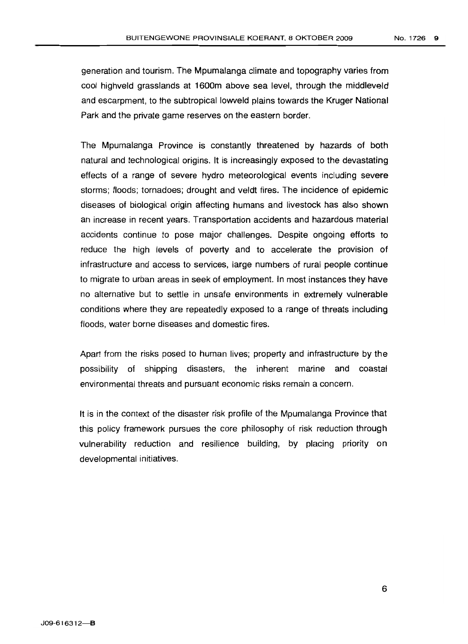generation and tourism. The Mpumalanga climate and topography varies from cool highveld grasslands at 1600m above sea level, through the middleveld and escarpment, to the subtropical lowveld plains towards the Kruger National Park and the private game reserves on the eastern border.

The Mpumalanga Province is constantly threatened by hazards of both natural and technological origins. It is increasingly exposed to the devastating effects of a range of severe hydro meteorological events including severe storms; floods; tornadoes; drought and veldt fires. The incidence of epidemic diseases of biological origin affecting humans and livestock has also shown an increase in recent years, Transportation accidents and hazardous material accidents continue to pose major challenges. Despite ongoing efforts to reduce the high levels of poverty and to accelerate the provision of infrastructure and access to services, large numbers of rural people continue to migrate to urban areas in seek of employment. In most instances they have no alternative but to settle in unsafe environments in extremely vulnerable conditions where they are repeatedly exposed to a range of threats including floods, water borne diseases and domestic fires.

Apart from the risks posed to human lives; property and infrastructure by the possibility of shipping disasters, the inherent marine and coastal environmental threats and pursuant economic risks remain a concern.

It is in the context of the disaster risk profile of the Mpumalanga Province that this policy framework pursues the core philosophy of risk reduction through vulnerability reduction and resilience building, by placing priority on developmental initiatives.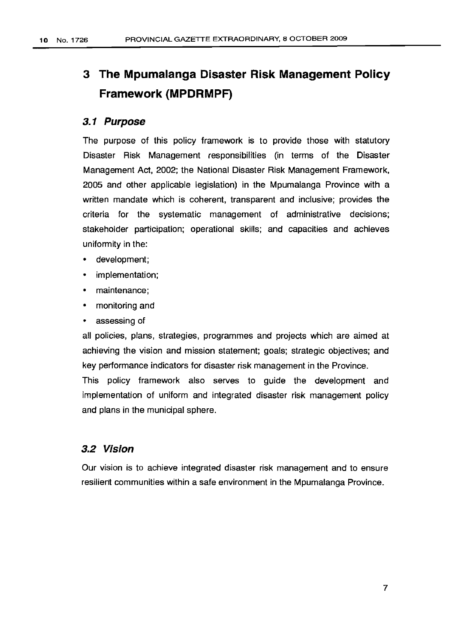# **3 The Mpumalanga Disaster Risk Management Policy Framework (MPDRMPF)**

#### **3.1 Purpose**

The purpose of this policy framework is to provide those with statutory Disaster Risk Management responsibilities (in terms of the Disaster Management Act, 2002; the National Disaster Risk Management Framework, 2005 and other applicable legislation) in the Mpumalanga Province with a written mandate which is coherent, transparent and inclusive; provides the criteria for the systematic management of administrative decisions; stakeholder participation; operational skills; and capacities and achieves uniformity in the:

- development;
- implementation;
- maintenance;
- monitoring and
- assessing of

all policies, plans, strategies, programmes and projects which are aimed at achieving the vision and mission statement; goals; strategic objectives; and key performance indicators for disaster risk management in the Province.

This policy framework also serves to guide the development and implementation of uniform and integrated disaster risk management policy and plans in the municipal sphere.

#### **3.2 Vision**

Our vision is to achieve integrated disaster risk management and to ensure resilient communities within a safe environment in the Mpumalanga Province.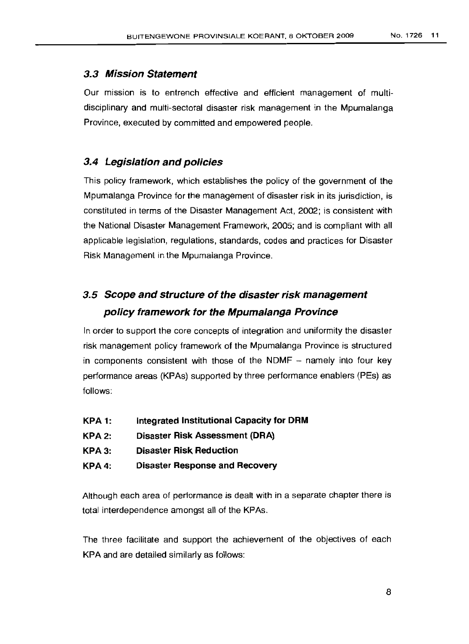#### **3.3 Mission Statement**

Our mission is to entrench effective and efficient management of multidisciplinary and multi-sectoral disaster risk management in the Mpumalanga Province, executed by committed and empowered people.

#### **3.4 Legislation and policies**

This policy framework, which establishes the policy of the government of the Mpumalanga Province for the management of disaster risk in its jurisdiction, is constituted in terms of the Disaster Management Act, 2002; is consistent with the National Disaster Management Framework, 2005; and is compliant with all applicable legislation, regulations, standards, codes and practices for Disaster Risk Management in the Mpumalanga Province.

### **3.5 Scope and structure of the disaster risk management policy framework for the Mpumalanga Province**

In order to support the core concepts of integration and uniformity the disaster risk management policy framework of the Mpumalanga Province is structured in components consistent with those of the NDMF - namely into four key performance areas (KPAs) supported by three performance enablers (PEs) as follows:

- **KPA 1: Integrated Institutional Capacity for DRM**
- **KPA2: Disaster Risk Assessment (DRA)**
- **KPA3: Disaster Risk.Reduction**
- **KPA4: Disaster Response and Recovery**

Although each area of performance is dealt with in a separate chapter there is total interdependence amongst all of the KPAs.

The three facilitate and support the achievement of the objectives of each KPA and are detailed similarly as follows: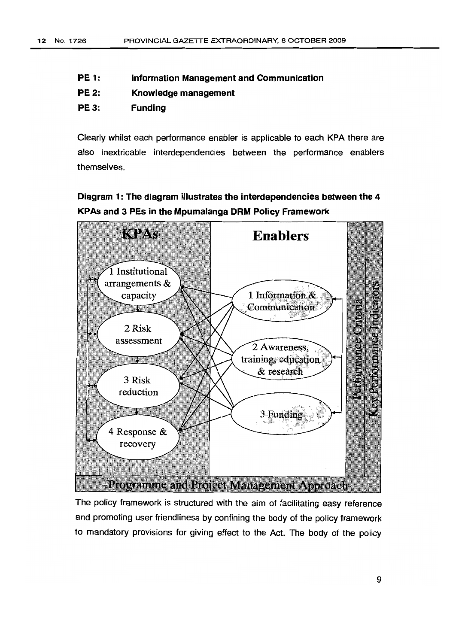- PE 1: Information Management and Communication
- PE 2: Knowledge management
- PE3: Funding

Clearly whilst each performance enabler is applicable to each KPA there are also inextricable interdependencies between the performance enablers themselves.

Diagram 1: The diagram illustrates the interdependencies between the 4 KPAs and 3 PEs in the Mpumalanga DRM Policy Framework



The policy framework is structured with the aim of facilitating easy reference and promoting user friendliness by confining the body of the policy framework to mandatory provisions for giving effect to the Act. The body of the policy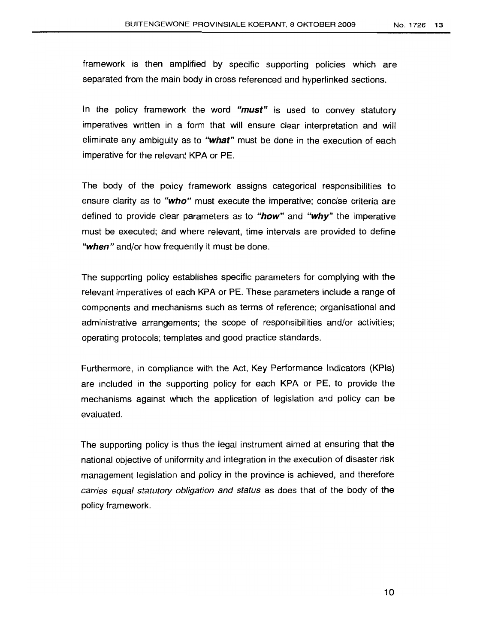framework is then amplified by specific supporting policies which are separated from the main body in cross referenced and hyperlinked sections.

In the policy framework the word *"must"* is used to convey statutory imperatives written in a form that will ensure clear interpretation and will eliminate any ambiguity as to "what" must be done in the execution of each imperative for the relevant KPA or PE.

The body of the policy framework assigns categorical responsibilities to ensure clarity as to "who" must execute the imperative; concise criteria are defined to provide clear parameters as to " $how$ " and " $why$ " the imperative must be executed; and where relevant, time intervals are provided to define "when" and/or how frequently it must be done.

The supporting policy establishes specific parameters for complying with the relevant imperatives of each KPA or PE. These parameters include a range of components and mechanisms such as terms of reference; organisational and administrative arrangements; the scope of responsibilities and/or activities; operating protocols; templates and good practice standards.

Furthermore, in compliance with the Act, Key Performance Indicators (KPls) are included in the supporting policy for each KPA or PE, to provide the mechanisms against which the application of legislation and policy can be evaluated.

The supporting policy is thus the legal instrument aimed at ensuring that the national objective of uniformity and integration in the execution of disaster risk management legislation and policy in the province is achieved, and therefore carries equal statutory obligation and status as does that of the body of the policy framework.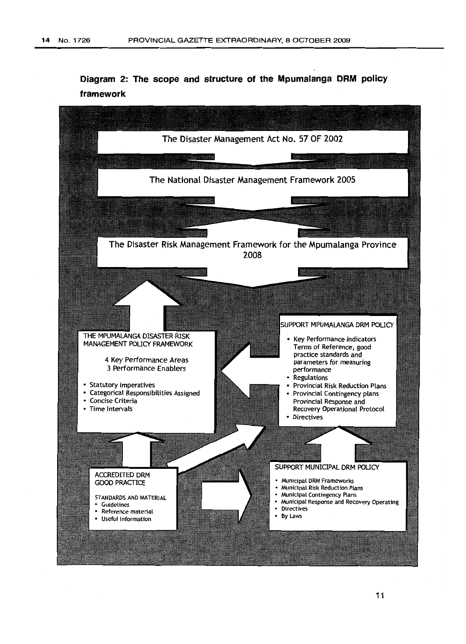**Diagram 2: The scope and structure of the Mpumalanga DRM policy framework**

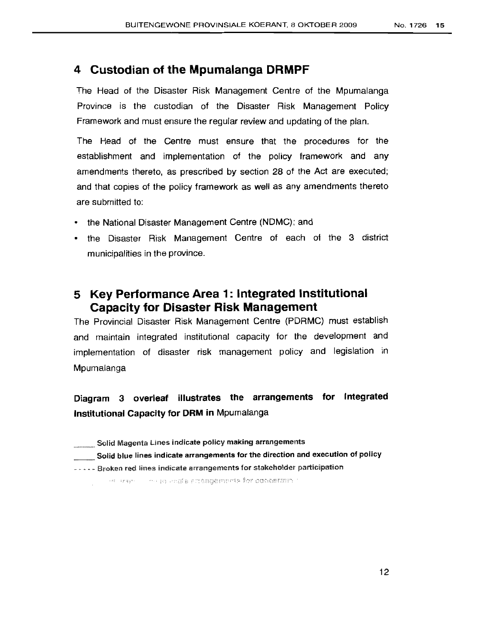### **4 Custodian of the Mpumalanga DRMPF**

The Head of the Disaster Risk Management Centre of the Mpumalanga Province is the custodian of the Disaster Risk Management Policy Framework and must ensure the regular review and updating of the plan.

The Head of the Centre must ensure that the procedures for the establishment and implementation of the policy framework and any amendments thereto, as prescribed by section 28 of the Act are executed; and that copies of the policy framework as well as any amendments thereto are submitted to:

- the National Disaster Management Centre (NDMC); and
- the Disaster Risk Management Centre of each of the 3 district municipalities in the province.

### **5 Key Performance Area 1: Integrated Institutional Capacity for Disaster Risk Management**

The Provincial Disaster Risk Management Centre (PDRMC) must establish and maintain integrated institutional capacity for the development and implementation of disaster risk management policy and legislation in Mpumalanga

### **Diagram 3 overleaf illustrates the arrangements for Integrated Institutional Capacity for DRM in** Mpumalanga

- Solid Magenta Lines indicate policy making arrangements
- \_\_ Solid blue lines indicate arrangements for the direction and execution of policy
- " - Broken red lines indicate arrangements for stakeholder participation

of the construction of a monopole and the construction of the construction of the construction of the construction of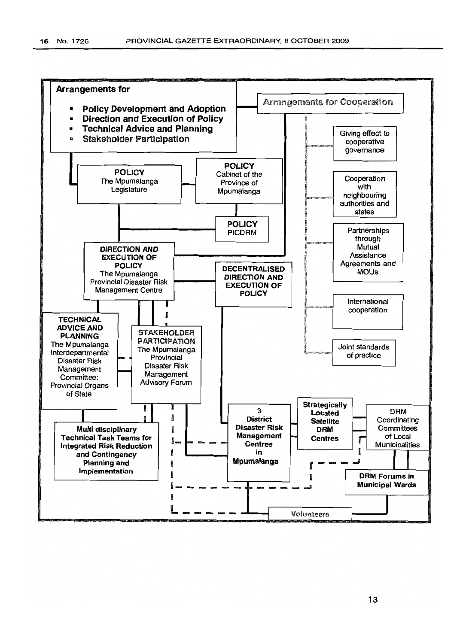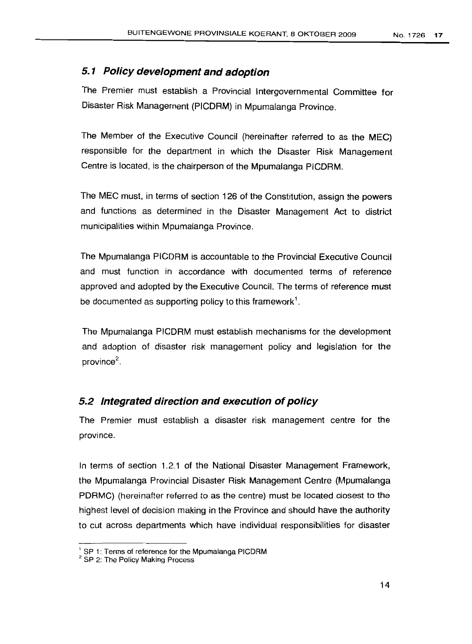#### **5.1 Policy development and adoption**

The Premier must establish a Provincial Intergovernmental Committee for Disaster Risk Management (PICDRM) in Mpumalanga Province.

The Member of the Executive Council (hereinafter referred to as the MEC) responsible for the department in which the Disaster Risk Management Centre is located, is the chairperson of the Mpumalanga PICDRM.

The MEC must, in terms of section 126 of the Constitution, assign the powers and functions as determined in the Disaster Management Act to district municipalities within Mpumalanga Province.

The Mpumalanga PICDRM is accountable to the Provincial Executive Council and must function in accordance with documented terms of reference approved and adopted by the Executive Council. The terms of reference must be documented as supporting policy to this framework<sup>1</sup>.

The Mpumalanga PICDRM must establish mechanisms for the development and adoption of disaster risk management policy and legislation for the province<sup>2</sup>.

#### **5.2 Integrated direction and execution ofpolicy**

The Premier must establish a disaster risk management centre for the province.

In terms of section 1.2.1 of the National Disaster Management Framework, the Mpumalanga Provincial Disaster Risk Management Centre (Mpumalanga PDRMC) (hereinafter referred to as the centre) must be located closest to the highest level of decision making in the Province and should have the authority to cut across departments which have individual responsibilities for disaster

<sup>&</sup>lt;sup>1</sup> SP 1: Terms of reference for the Mpumalanga PICDRM

<sup>&</sup>lt;sup>2</sup> SP 2: The Policy Making Process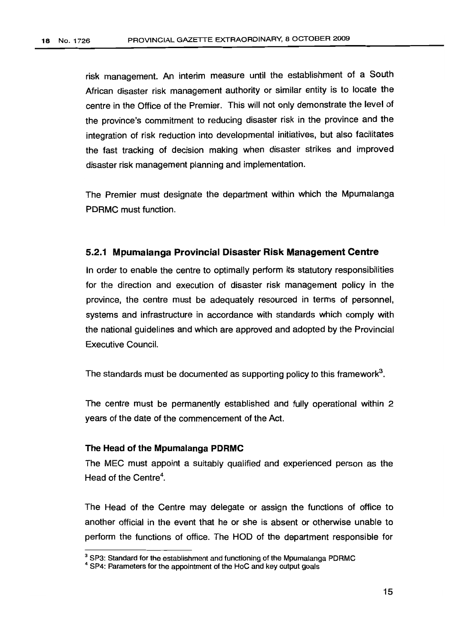risk management. An interim measure until the establishment of a South African disaster risk management authority or similar entity is to locate the centre in the Office of the Premier. This will not only demonstrate the level of the province's commitment to reducing disaster risk in the province and the integration of risk reduction into developmental initiatives, but also facilitates the fast tracking of decision making when disaster strikes and improved disaster risk management planning and implementation.

The Premier must designate the department within which the Mpumalanga PDRMC must function.

#### 5.2.1 Mpumalanga Provincial Disaster Risk Management Centre

In order to enable the centre to optimally perform its statutory responsibilities for the direction and execution of disaster risk management policy in the province, the centre must be adequately resourced in terms of personnel, systems and infrastructure in accordance with standards which comply with the national guidelines and which are approved and adopted by the Provincial Executive Council.

The standards must be documented as supporting policy to this framework".

The centre must be permanently established and fully operational within 2 years of the date of the commencement of the Act.

#### The Head of the Mpumalanga PDRMC

The MEC must appoint a suitably qualified and experienced person as the Head of the Centre".

The Head of the Centre may delegate or assign the functions of office to another official in the event that he or she is absent or otherwise unable to perform the functions of office. The HOD of the department responsible for

<sup>&</sup>lt;sup>3</sup> SP3: Standard for the establishment and functioning of the Mpumalanga PDRMC

<sup>&</sup>lt;sup>4</sup> SP4: Parameters for the appointment of the HoC and key output goals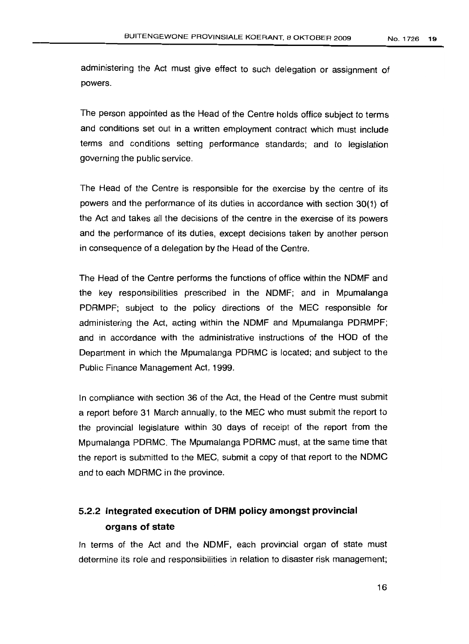administering the Act must give effect to such delegation or assignment of powers.

The person appointed as the Head of the Centre holds office subject to terms and conditions set out in a written employment contract which must include terms and conditions setting performance standards; and to legislation governing the public service.

The Head of the Centre is responsible for the exercise by the centre of its powers and the performance of its duties in accordance with section 30(1) of the Act and takes all the decisions of the centre in the exercise of its powers and the performance of its duties, except decisions taken by another person in consequence of a delegation by the Head of the Centre.

The Head of the Centre performs the functions of office within the NDMF and the key responsibilities prescribed in the NDMF; and in Mpumalanga PDRMPF; subject to the policy directions of the MEC responsible for administering the Act, acting within the NDMF and Mpumalanga PDRMPF; and in accordance with the administrative instructions of the HOD of the Department in which the Mpumalanga PDRMC is located; and subject to the Public Finance Management Act, 1999.

In compliance with section 36 of the Act, the Head of the Centre must submit a report before 31 March annually, to the MEC who must submit the report to the provincial legislature within 30 days of receipt of the report from the Mpumalanga PORMC. The Mpumalanga PORMC must, at the same time that the report is submitted to the MEC, submit a copy of that report to the NDMC and to each MORMC in the province.

### 5.2.2 **Integrated execution of DRM policy amongst provincial organs of state**

In terms of the Act and the NOMF, each provincial organ of state must determine its role and responsibilities in relation to disaster risk management;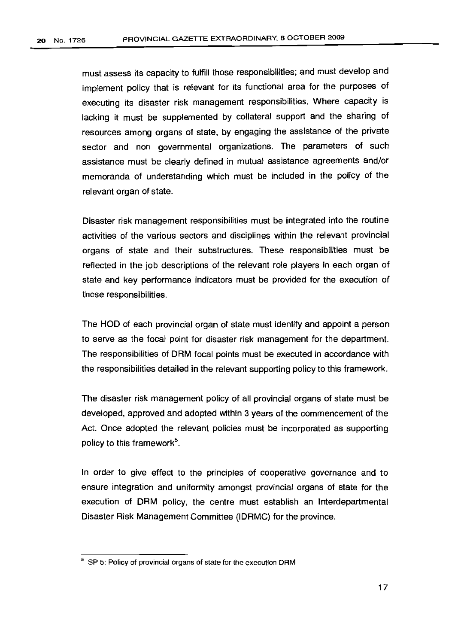must assess its capacity to fulfill those responsibilities; and must develop and implement policy that is relevant for its functional area for the purposes of executing its disaster risk management responsibilities. Where capacity is lacking it must be supplemented by collateral support and the sharing of resources among organs of state, by engaging the assistance of the private sector and non governmental organizations. The parameters of such assistance must be clearly defined in mutual assistance agreements and/or memoranda of understanding which must be included in the policy of the relevant organ of state.

Disaster risk management responsibilities must be integrated into the routine activities of the various sectors and disciplines within the relevant provincial organs of state and their substructures. These responsibilities must be reflected in the job descriptions of the relevant role players in each organ of state and key performance indicators must be provided for the execution of those responsibilities.

The HOD of each provincial organ of state must identify and appoint a person to serve as the focal point for disaster risk management for the department. The responsibilities of DRM focal points must be executed in accordance with the responsibilities detailed in the relevant supporting policy to this framework.

The disaster risk management policy of all provincial organs of state must be developed, approved and adopted within 3 years of the commencement of the Act. Once adopted the relevant policies must be incorporated as supporting policy to this framework<sup>5</sup>.

In order to give effect to the principles of cooperative governance and to ensure integration and uniformity amongst provincial organs of state for the execution of DRM policy, the centre must establish an Interdepartmental Disaster Risk Management Committee (IDRMC) for the province.

<sup>5</sup> SP 5: Policy of provincial organs of state for the execution DRM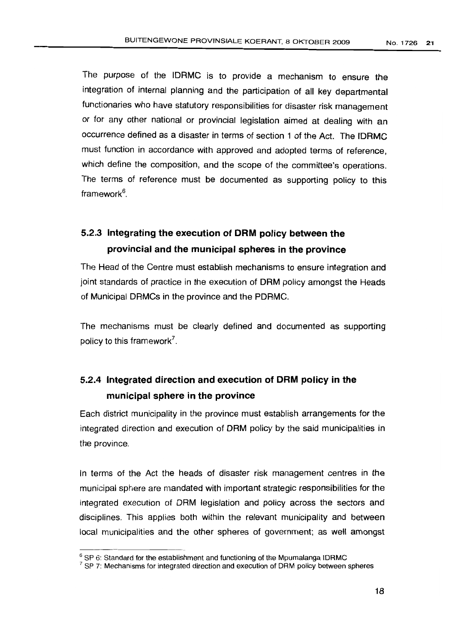The purpose of the IDRMC is to provide a mechanism to ensure the integration of internal planning and the participation of all key departmental functionaries who have statutory responsibilities for disaster risk management or for any other national or provincial legislation aimed at dealing with an occurrence defined as a disaster in terms of section 1 of the Act. The IDRMC must function in accordance with approved and adopted terms of reference, which define the composition, and the scope of the committee's operations. The terms of reference must be documented as supporting policy to this framework<sup>6</sup>.

### 5.2.3 **Integrating the execution of DRM policy between the provincial and the municipal spheres in the province**

The Head of the Centre must establish mechanisms to ensure integration and joint standards of practice in the execution of DRM policy amongst the Heads of Municipal DRMCs in the province and the PDRMC.

The mechanisms must be clearly defined and documented as supporting policy to this framework?

### 5.2.4 **Integrated direction and execution of DRM policy in the municipal sphere in the province**

Each district municipality in the province must establish arrangements for the integrated direction and execution of DRM policy by the said municipalities in the province.

In terms of the Act the heads of disaster risk management centres in the municipal sphere are mandated with important strategic responsibilities for the integrated execution of DRM legislation and policy across the sectors and disciplines. This applies both within the relevant municipality and between local municipalities and the other spheres of government; as well amongst

 $6$  SP 6: Standard for the establishment and functioning of the Mpumalanga IDRMC

 $7$  SP 7: Mechanisms for integrated direction and execution of DRM policy between spheres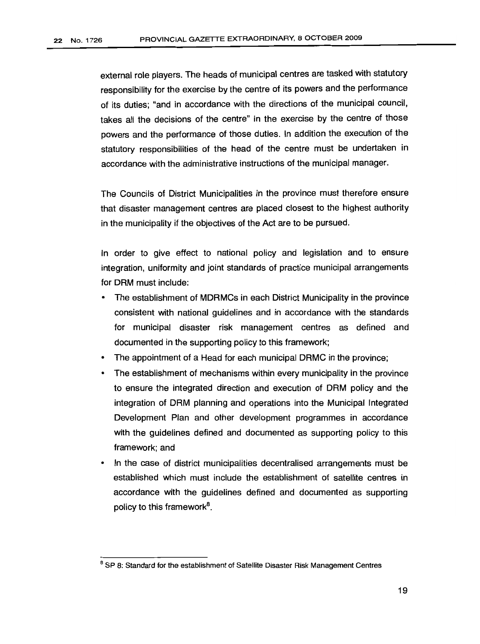external role players. The heads of municipal centres are tasked with statutory responsibility for the exercise by the centre of its powers and the performance of its duties; "and in accordance with the directions of the municipal council, takes all the decisions of the centre" in the exercise by the centre of those powers and the performance of those duties. In addition the execution of the statutory responsibilities of the head of the centre must be undertaken in accordance with the administrative instructions of the municipal manager.

The Councils of District Municipalities in the province must therefore ensure that disaster management centres are placed closest to the highest authority in the municipality if the objectives of the Act are to be pursued.

In order to give effect to national policy and legislation and to ensure integration, uniformity and joint standards of practice municipal arrangements for DRM must include:

- The establishment of MDRMCs in each District Municipality in the province consistent with national guidelines and in accordance with the standards for municipal disaster risk management centres as defined and documented in the supporting policy to this framework;
- The appointment of a Head for each municipal DRMC in the province;
- The establishment of mechanisms within every municipality in the province to ensure the integrated direction and execution of DRM policy and the integration of DRM planning and operations into the Municipal Integrated Development Plan and other development programmes in accordance with the guidelines defined and documented as supporting policy to this framework; and
- In the case of district municipalities decentralised arrangements must be established which must include the establishment of satellite centres in accordance with the guidelines defined and documented as supporting policy to this framework<sup>8</sup>.

<sup>&</sup>lt;sup>8</sup> SP 8: Standard for the establishment of Satellite Disaster Risk Management Centres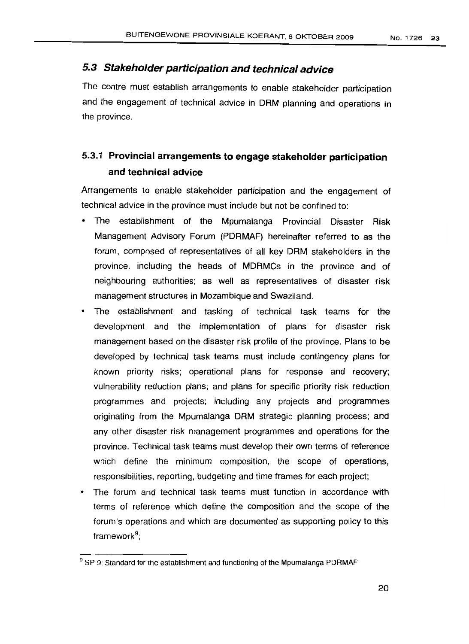### 5.3 Stakeholder participation and technical advice

The centre must establish arrangements to enable stakeholder participation and the engagement of technical advice in DRM planning and operations in the province.

### 5.3.1 Provincial arrangements to engage stakeholder participation and technical advice

Arrangements to enable stakeholder participation and the engagement of technical advice in the province must include but not be confined to:

- The establishment of the Mpumalanga Provincial Disaster Risk Management Advisory Forum (PDRMAF) hereinafter referred to as the forum, composed of representatives of all key DRM stakeholders in the province, including the heads of MDRMCs in the province and of neighbouring authorities; as well as representatives of disaster risk management structures in Mozambique and Swaziland.
- The establishment and tasking of technical task teams for the development and the implementation of plans for disaster risk management based on the disaster risk profile of the province. Plans to be developed by technical task teams must include contingency plans for known priority risks; operational plans for response and recovery; vulnerability reduction plans; and plans for specific priority risk reduction programmes and projects; including any projects and programmes originating from the Mpumalanga DRM strategic planning process; and any other disaster risk management programmes and operations for the province. Technical task teams must develop their own terms of reference which define the minimum composition, the scope of operations, responsibilities, reporting, budgeting and time frames for each project;
- The forum and technical task teams must function in accordance with terms of reference which define the composition and the scope of the forum's operations and which are documented as supporting policy to this framework";

<sup>&</sup>lt;sup>9</sup> SP 9: Standard for the establishment and functioning of the Mpumalanga PDRMAF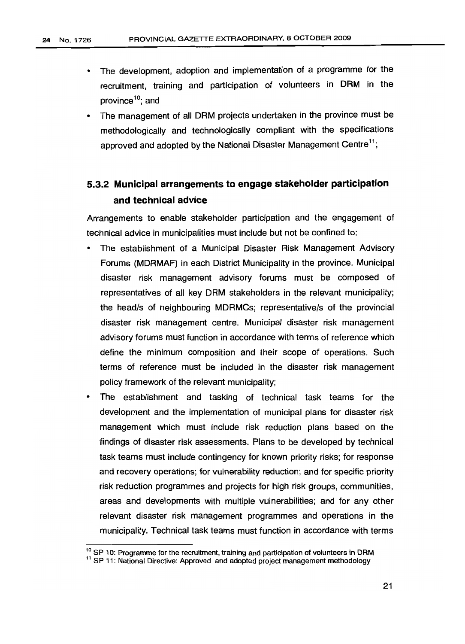- The development, adoption and implementation of a programme for the recruitment, training and participation of volunteers in DRM in the province<sup>10</sup>; and
- The management of all DRM projects undertaken in the province must be methodologically and technologically compliant with the specifications approved and adopted by the National Disaster Management Centre<sup>11</sup>:

### 5.3.2 Municipal arrangements to engage stakeholder participation and technical advice

Arrangements to enable stakeholder participation and the engagement of technical advice in municipalities must include but not be confined to:

- The establishment of a Municipal Disaster Risk Management Advisory Forums (MDRMAF) in each District Municipality in the province. Municipal disaster risk management advisory forums must be composed of representatives of all key DRM stakeholders in the relevant municipality; the head/s of neighbouring MDRMCs; representative/s of the provincial disaster risk management centre. Municipal disaster risk management advisory forums must function in accordance with terms of reference which define the minimum composition and their scope of operations. Such terms of reference must be included in the disaster risk management policy framework of the relevant municipality;
- The establishment and tasking of technical task teams for the development and the implementation of municipal plans for disaster risk management which must include risk reduction plans based on the findings of disaster risk assessments. Plans to be developed by technical task teams must include contingency for known priority risks; for response and recovery operations; for vulnerability reduction; and for specific priority risk reduction programmes and projects for high risk groups, communities, areas and developments with multiple vulnerabilities; and for any other relevant disaster risk management programmes and operations in the municipality. Technical task teams must function in accordance with terms

<sup>&</sup>lt;sup>10</sup> SP 10: Programme for the recruitment, training and participation of volunteers in DRM

<sup>&</sup>lt;sup>11</sup> SP 11: National Directive: Approved and adopted project management methodology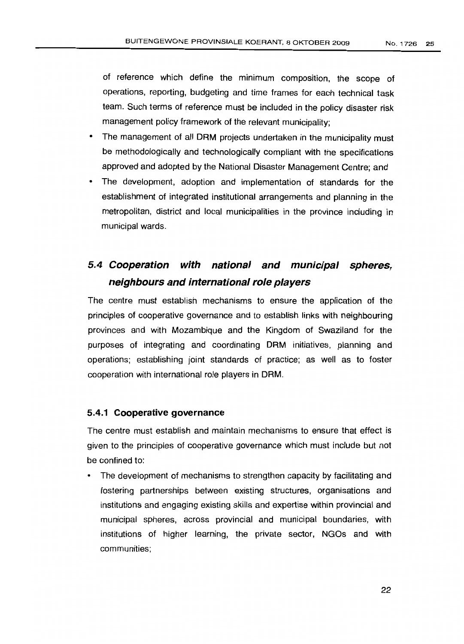of reference which define the minimum composition, the scope of operations, reporting, budgeting and time frames for each technical task team. Such terms of reference must be included in the policy disaster risk management policy framework of the relevant municipality;

- The management of all DRM projects undertaken in the municipality must be methodologically and technologically compliant with the specifications approved and adopted by the National Disaster Management Centre; and
- The development, adoption and implementation of standards for the establishment of integrated institutional arrangements and planning in the metropolitan, district and local municipalities in the province including in municipal wards.

### **5.4 Cooperation with national and municipal spheres, neighbours and international role players**

The centre must establish mechanisms to ensure the application of the principles of cooperative governance and to establish links with neighbouring provinces and with Mozambique and the Kingdom of Swaziland for the purposes of integrating and coordinating DRM initiatives, planning and operations; establishing joint standards of practice; as well as to foster cooperation with international role players in DRM.

#### **5.4.1 Cooperative governance**

The centre must establish and maintain mechanisms to ensure that effect is given to the principles of cooperative governance which must include but not be confined to:

• The development of mechanisms to strengthen capacity by facilitating and fostering partnerships between existing structures, organisations and institutions and engaging existing skills and expertise within provincial and municipal spheres, across provincial and municipal boundaries, with institutions of higher learning, the private sector, NGOs and with communities;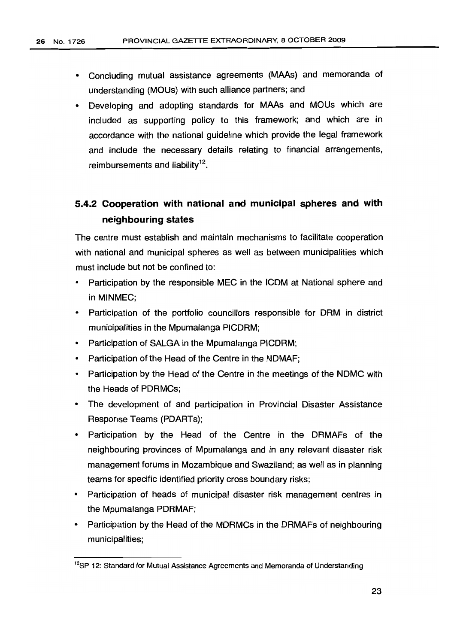- Concluding mutual assistance agreements (MAAs) and memoranda of understanding (MOUs) with such alliance partners; and
- Developing and adopting standards for MAAs and MOUs which are included as supporting policy to this framework; and which are in accordance with the national guideline which provide the legal framework and include the necessary details relating to financial arrangements, reimbursements and liability $12$ .

### **5.4.2 Cooperation with national and municipal spheres and with neighbouring states**

The centre must establish and maintain mechanisms to facilitate cooperation with national and municipal spheres as well as between municipalities which must include but not be confined to:

- Participation by the responsible MEC in the ICDM at National sphere and in MINMEC;
- Participation of the portfolio councillors responsible for DRM in district municipalities in the Mpumalanga PICDRM;
- Participation of SALGA in the Mpumalanga PICDRM;
- Participation of the Head of the Centre in the NDMAF;
- Participation by the Head of the Centre in the meetings of the NDMC with the Heads of PDRMCs;
- The development of and participation in Provincial Disaster Assistance Response Teams (PDARTs);
- Participation by the Head of the Centre in the DRMAFs of the neighbouring provinces of Mpumalanga and in any relevant disaster risk management forums in Mozambique and Swaziland; as well as in planning teams for specific identified priority cross boundary risks;
- Participation of heads of municipal disaster risk management centres in the Mpumalanga PDRMAF;
- Participation by the Head of the MDRMCs in the DRMAFs of neighbouring municipalities;

<sup>&</sup>lt;sup>12</sup>SP 12: Standard for Mutual Assistance Agreements and Memoranda of Understanding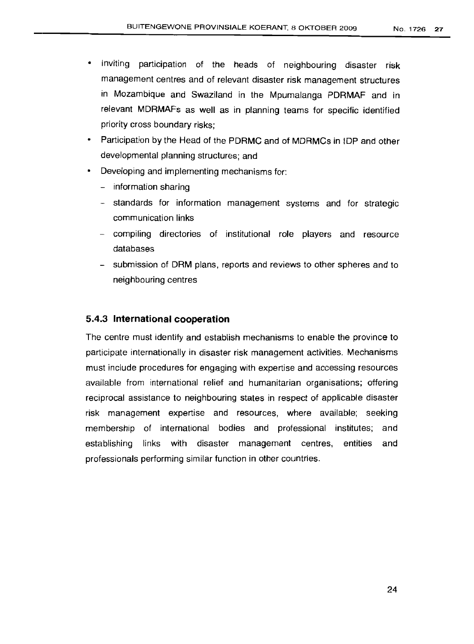- Inviting participation of the heads of neighbouring disaster risk management centres and of relevant disaster risk management structures in Mozambique and Swaziland in the Mpumalanga PDRMAF and in relevant MDRMAFs as well as in planning teams for specific identified priority cross boundary risks;
- Participation by the Head of the PDRMC and of MDRMCs in IDP and other developmental planning structures; and
- Developing and implementing mechanisms for:
	- information sharing
	- standards for information management systems and for strategic communication links
	- compiling directories of institutional role players and resource databases
	- submission of DRM plans, reports and reviews to other spheres and to neighbouring centres

#### 5.4.3 **International cooperation**

The centre must identify and establish mechanisms to enable the province to participate internationally in disaster risk management activities. Mechanisms must include procedures for engaging with expertise and accessing resources available from international relief and humanitarian organisations; offering reciprocal assistance to neighbouring states in respect of applicable disaster risk management expertise and resources, where available; seeking membership of international bodies and professional institutes; and establishing links with disaster management centres, entities and professionals performing similar function in other countries.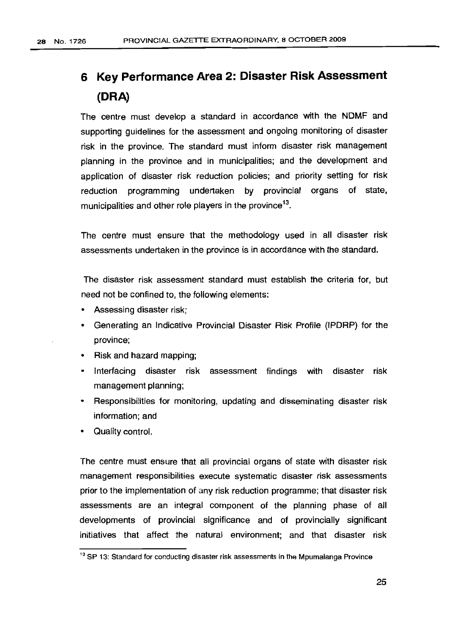# **6 Key Performance Area 2: Disaster Risk Assessment (ORA)**

The centre must develop a standard in accordance with the NDMF and supporting guidelines for the assessment and ongoing monitoring of disaster risk in the province. The standard must inform disaster risk management planning in the province and in municipalities; and the development and application of disaster risk reduction policies; and priority setting for risk reduction programming undertaken by provincial organs of state, municipalities and other role players in the province<sup>13</sup>.

The centre must ensure that the methodology used in all disaster risk assessments undertaken in the province is in accordance with the standard.

The disaster risk assessment standard must establish the criteria for, but need not be confined to, the following elements:

- Assessing disaster risk;
- Generating an Indicative Provincial Disaster Risk Profile (IPDRP) for the province;
- Risk and hazard mapping;
- Interfacing disaster risk assessment findings with disaster risk management planning;
- Responsibilities for monitoring, updating and disseminating disaster risk information; and
- Quality control.

The centre must ensure that all provincial organs of state with disaster risk management responsibilities execute systematic disaster risk assessments prior to the implementation of any risk reduction programme; that disaster risk assessments are an integral component of the planning phase of all developments of provincial significance and of provincially significant initiatives that affect the natural environment; and that disaster risk

<sup>&</sup>lt;sup>13</sup> SP 13: Standard for conducting disaster risk assessments in the Mpumalanga Province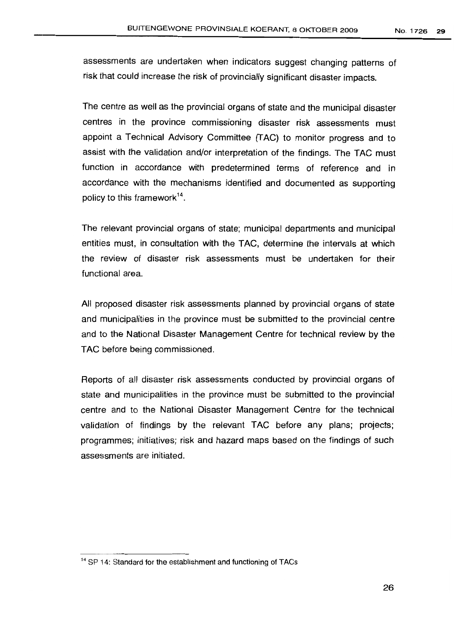assessments are undertaken when indicators suggest changing patterns of risk that could increase the risk of provincially significant disaster impacts.

The centre as well as the provincial organs of state and the municipal disaster centres in the province commissioning disaster risk assessments must appoint a Technical Advisory Committee (TAG) to monitor progress and to assist with the validation and/or interpretation of the findings. The TAC must function in accordance with predetermined terms of reference and in accordance with the mechanisms identified and documented as supporting policy to this framework<sup>14</sup>.

The relevant provincial organs of state; municipal departments and municipal entities must, in consultation with the TAC, determine the intervals at which the review of disaster risk assessments must be undertaken for their functional area.

All proposed disaster risk assessments planned by provincial organs of state and municipalities in the province must be submitted to the provincial centre and to the National Disaster Management Centre for technical review by the TAC before being commissioned.

Reports of all disaster risk assessments conducted by provincial organs of state and municipalities in the province must be submitted to the provincial centre and to the National Disaster Management Centre for the technical validation of findings by the relevant TAC before any plans; projects; programmes; initiatives; risk and hazard maps based on the findings of such assessments are initiated.

<sup>&</sup>lt;sup>14</sup> SP 14: Standard for the establishment and functioning of TACs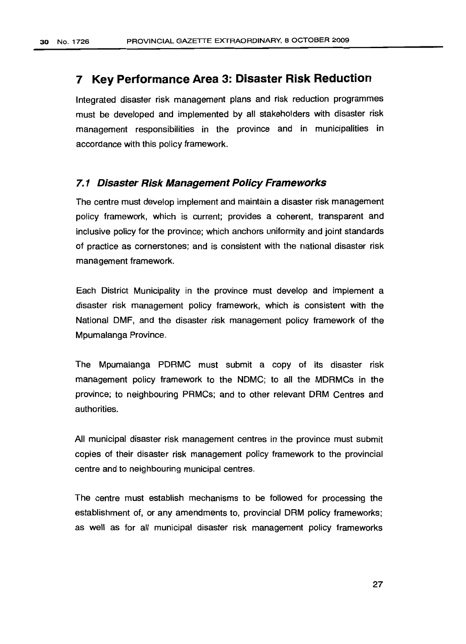### **7 Key Performance Area 3: Disaster Risk Reduction**

Integrated disaster risk management plans and risk reduction programmes must be developed and implemented by all stakeholders with disaster risk management responsibilities in the province and in municipalities in accordance with this policy framework.

#### **7.1 Disaster Risk Management Policy Frameworks**

The centre must develop implement and maintain a disaster risk management policy framework, which is current; provides a coherent, transparent and inclusive policy for the province; which anchors uniformity and joint standards of practice as cornerstones; and is consistent with the national disaster risk management framework.

Each District Municipality in the province must develop and implement a disaster risk management policy framework, which is consistent with the National DMF, and the disaster risk management policy framework of the Mpumalanga Province.

The Mpumalanga PDRMC must submit a copy of its disaster risk management policy framework to the NDMC; to all the MDRMCs in the province; to neighbouring PRMCs; and to other relevant DRM Centres and authorities.

All municipal disaster risk management centres in the province must submit copies of their disaster risk management policy framework to the provincial centre and to neighbouring municipal centres.

The centre must establish mechanisms to be followed for processing the establishment of, or any amendments to, provincial DRM policy frameworks; as well as for all municipal disaster risk management policy frameworks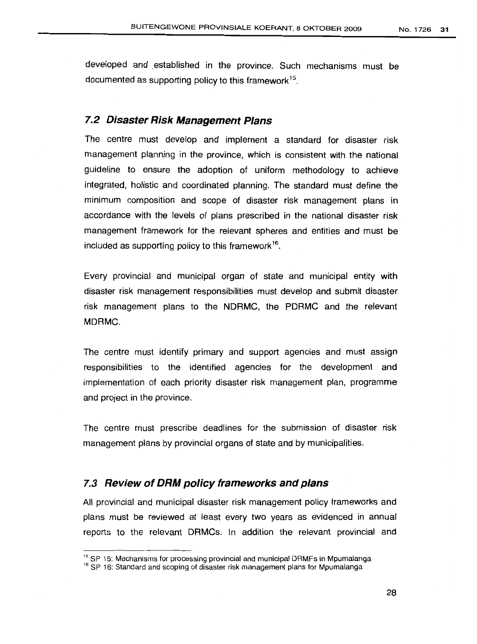developed and established in the province. Such mechanisms must be documented as supporting policy to this framework<sup>15</sup>.

#### **7.2 Disaster Risk Management Plans**

The centre must develop and implement a standard for disaster risk management planning in the province, which is consistent with the national guideline to ensure the adoption of uniform methodology to achieve integrated, holistic and coordinated planning. The standard must define the minimum composition and scope of disaster risk management plans in accordance with the levels of plans prescribed in the national disaster risk management framework for the relevant spheres and entities and must be included as supporting policy to this framework $^{16}$ .

Every provincial and municipal organ of state and municipal entity with disaster risk management responsibilities must develop and submit disaster risk management plans to the NDRMC, the PDRMC and the relevant MDRMC.

The centre must identify primary and support agencies and must assign responsibilities to the identified agencies for the development and implementation of each priority disaster risk management plan, programme and project in the province.

The centre must prescribe deadlines for the submission of disaster risk management plans by provincial organs of state and by municipalities.

#### 7.3 **Review of DRM policy frameworks and plans**

All provincial and municipal disaster risk management policy frameworks and plans must be reviewed at least every two years as evidenced in annual reports to the relevant DRMCs. In addition the relevant provincial and

<sup>&</sup>lt;sup>15</sup> SP 15: Mechanisms for processing provincial and municipal DRMFs in Mpumalanga

<sup>&</sup>lt;sup>16</sup> SP 16: Standard and scoping of disaster risk management plans for Mpumalanga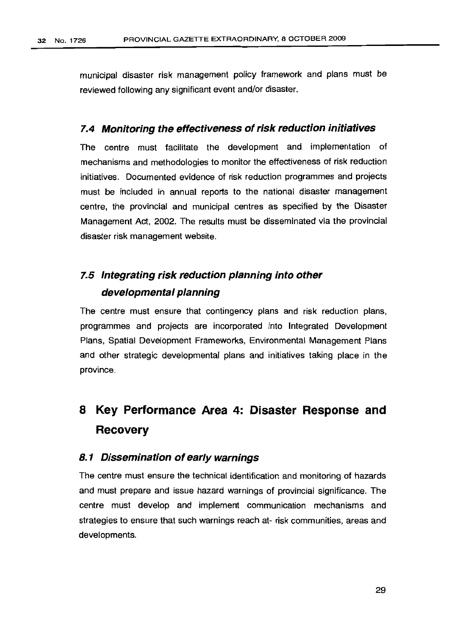municipal disaster risk management policy framework and plans must be reviewed following any significant event and/or disaster.

#### **7.4 Monitoring the effectiveness ofrisk reduction initiatives**

The centre must facilitate the development and implementation of mechanisms and methodologies to monitor the effectiveness of risk reduction initiatives. Documented evidence of risk reduction programmes and projects must be included in annual reports to the national disaster management centre, the provincial and municipal centres as specified by the Disaster Management Act, 2002. The results must be disseminated via the provincial disaster risk management website.

### **7.5 Integrating risk reduction planning into other developmental planning**

The centre must ensure that contingency plans and risk reduction plans, programmes and projects are incorporated into Integrated Development Plans, Spatial Development Frameworks, Environmental Management Plans and other strategic developmental plans and initiatives taking place in the province.

# **8 Key Performance Area 4: Disaster Response and Recovery**

#### **8.1 Dissemination of early warnings**

The centre must ensure the technical identification and monitoring of hazards and must prepare and issue hazard warnings of provincial significance. The centre must develop and implement communication mechanisms and strategies to ensure that such warnings reach at- risk communities, areas and developments.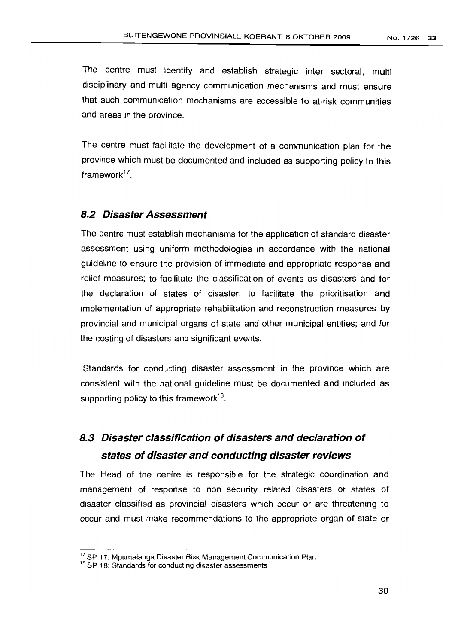The centre must identify and establish strategic inter sectoral, multi disciplinary and multi agency communication mechanisms and must ensure that such communication mechanisms are accessible to at-risk communities and areas in the province.

The centre must facilitate the development of a communication plan for the province which must be documented and included as supporting policy to this framework<sup>17</sup>

#### **8.2 Disaster Assessment**

The centre must establish mechanisms for the application of standard disaster assessment using uniform methodologies in accordance with the national guideline to ensure the provision of immediate and appropriate response and relief measures; to facilitate the classification of events as disasters and for the declaration of states of disaster; to facilitate the prioritisation and implementation of appropriate rehabilitation and reconstruction measures by provincial and municipal organs of state and other municipal entities; and for the costing of disasters and significant events.

Standards for conducting disaster assessment in the province which are consistent with the national guideline must be documented and included as supporting policy to this framework<sup>18</sup>.

### **8.3 Disaster classification of disasters and declaration of states of disaster and conducting disaster reviews**

The Head of the centre is responsible for the strategic coordination and management of response to non security related disasters or states of disaster classified as provincial disasters which occur or are threatening to occur and must make recommendations to the appropriate organ of state or

<sup>&</sup>lt;sup>17</sup> SP 17: Mpumalanga Disaster Risk Management Communication Plan

<sup>&</sup>lt;sup>18</sup> SP 18: Standards for conducting disaster assessments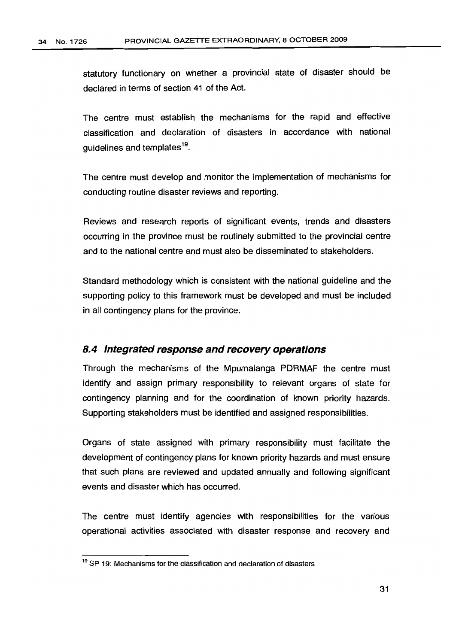statutory functionary on whether a provincial state of disaster should be declared in terms of section 41 of the Act.

The centre must establish the mechanisms for the rapid and effective classification and declaration of disasters in accordance with national guidelines and templates<sup>19</sup>.

The centre must develop and monitor the implementation of mechanisms for conducting routine disaster reviews and reporting.

Reviews and research reports of significant events, trends and disasters occurring in the province must be routinely submitted to the provincial centre and to the national centre and must also be disseminated to stakeholders.

Standard methodology which is consistent with the national guideline and the supporting policy to this framework must be developed and must be included in all contingency plans for the province.

#### **8.4 Integrated response and recovery operations**

Through the mechanisms of the Mpumalanga PDRMAF the centre must identify and assign primary responsibility to relevant organs of state for contingency planning and for the coordination of known priority hazards. Supporting stakeholders must be identified and assigned responsibilities.

Organs of state assigned with primary responsibility must facilitate the development of contingency plans for known priority hazards and must ensure that such plans are reviewed and updated annually and following significant events and disaster which has occurred.

The centre must identify agencies with responsibilities for the various operational activities associated with disaster response and recovery and

<sup>&</sup>lt;sup>19</sup> SP 19: Mechanisms for the classification and declaration of disasters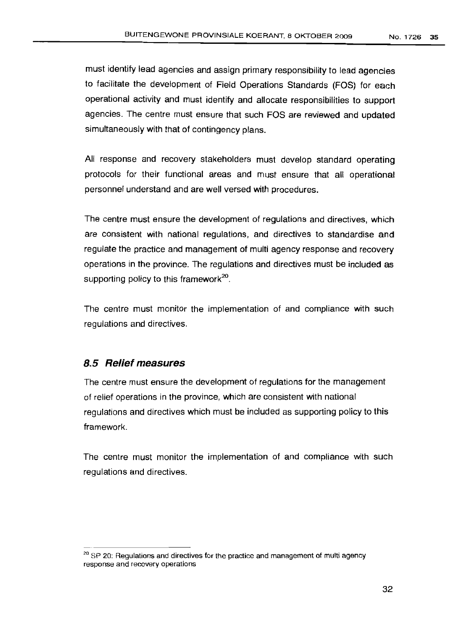must identify lead agencies and assign primary responsibility to lead agencies to facilitate the development of Field Operations Standards (FOS) for each operational activity and must identify and allocate responsibilities to support agencies. The centre must ensure that such FOS are reviewed and updated simultaneously with that of contingency plans.

All response and recovery stakeholders must develop standard operating protocols for their functional areas and must ensure that all operational personnel understand and are well versed with procedures.

The centre must ensure the development of regulations and directives, which are consistent with national regulations, and directives to standardise and regulate the practice and management of multi agency response and recovery operations in the province. The regulations and directives must be included as supporting policy to this framework<sup>20</sup>.

The centre must monitor the implementation of and compliance with such regulations and directives.

#### **8.5 Relief measures**

The centre must ensure the development of regulations for the management of relief operations in the province, which are consistent with national regulations and directives which must be included as supporting policy to this framework.

The centre must monitor the implementation of and compliance with such regulations and directives.

<sup>&</sup>lt;sup>20</sup> SP 20: Regulations and directives for the practice and management of multi agency response and recovery operations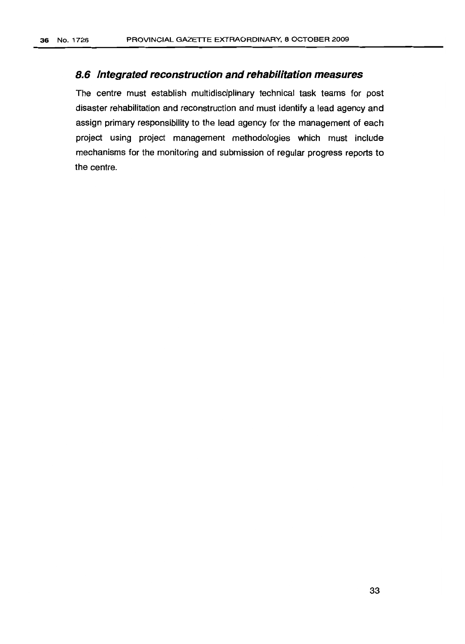#### **8.6 Integrated reconstruction and rehabilitation measures**

The centre must establish multidisciplinary technical task teams for post disaster rehabilitation and reconstruction and must identify a lead agency and assign primary responsibility to the lead agency for the management of each project using project management methodologies which must include mechanisms for the monitoring and submission of regular progress reports to the centre.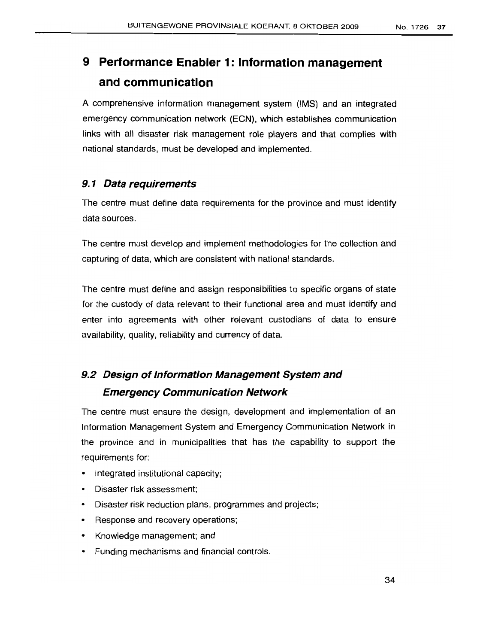# **9 Performance Enabler 1: Information management and communication**

A comprehensive information management system (IMS) and an integrated emergency communication network (ECN), which establishes communication links with all disaster risk management role players and that complies with national standards, must be developed and implemented.

#### **9.1 Data requirements**

The centre must define data requirements for the province and must identify data sources.

The centre must develop and implement methodologies for the collection and capturing of data, which are consistent with national standards.

The centre must define and assign responsibilities to specific organs of state for the custody of data relevant to their functional area and must identify and enter into agreements with other relevant custodians of data to ensure availability, quality, reliability and currency of data.

### **9.2 Design of Information Management System and Emergency Communication Network**

The centre must ensure the design, development and implementation of an Information Managememt System and Emergency Communication Network in the province and in municipalities that has the capability to support the requirements for:

- Integrated institutional capacity;
- Disaster risk assessment;
- Disaster risk reduction plans, programmes and projects;
- Response and recovery operations;
- Knowledge management; and
- Funding mechanisms and financial controls.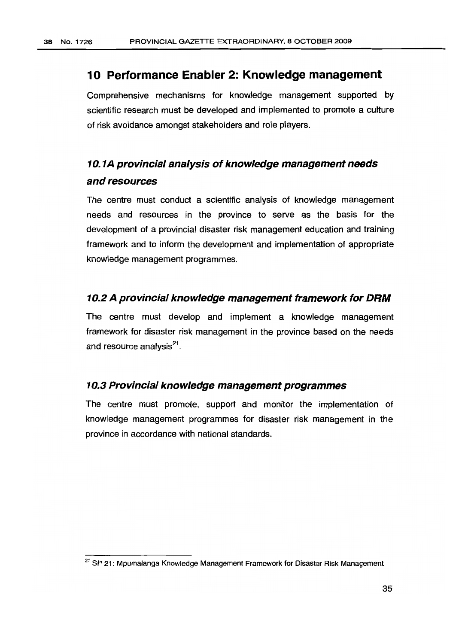#### **10 Performance Enabler 2: Knowledge management**

Comprehensive mechanisms for knowledge management supported by scientific research must be developed and implemented to promote a culture of risk avoidance amongst stakeholders and role players.

### **10.1A provincial analysis of knowledge management needs and resources**

The centre must conduct a scientific analysis of knowledge management needs and resources in the province to serve as the basis for the development of a provincial disaster risk management education and training framework and to inform the development and implementation of appropriate knowledge management programmes.

#### **10.2 A provincial knowledge management framework for DRM**

The centre must develop and implement a knowledge management framework for disaster risk management in the province based on the needs and resource analysis<sup>21</sup>.

#### **10.3 Provincial knowledge management programmes**

The centre must promote, support and monitor the implementation of knowledge management programmes for disaster risk management in the province in accordance with national standards.

<sup>&</sup>lt;sup>21</sup> SP 21: Mpumalanga Knowledge Management Framework for Disaster Risk Management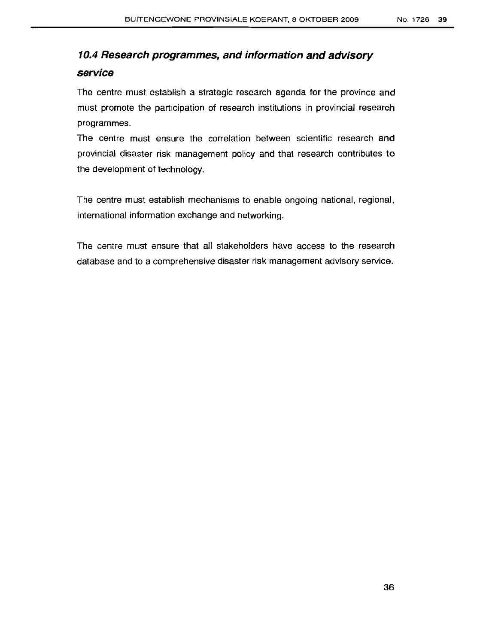### **10.4 Research programmes, and information and advisory service**

The centre must establish a strategic research agenda for the province and must promote the participation of research institutions in provincial research programmes.

The centre must ensure the correlation between scientific research and provincial disaster risk management policy and that research contributes to the development of technology.

The centre must establish mechanisms to enable ongoing national, regional, international information exchange and networking.

The centre must ensure that all stakehoiders have access to the research database and to a comprehensive disaster risk management advisory service.